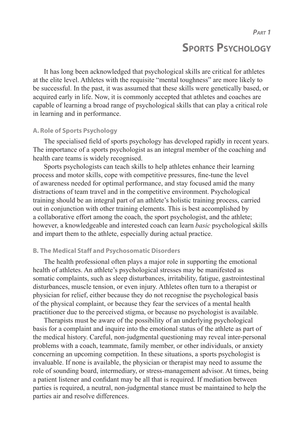*PART 1*

## **SPORTS PSYCHOLOGY**

It has long been acknowledged that psychological skills are critical for athletes at the elite level. Athletes with the requisite "mental toughness" are more likely to be successful. In the past, it was assumed that these skills were genetically based, or acquired early in life. Now, it is commonly accepted that athletes and coaches are capable of learning a broad range of psychological skills that can play a critical role in learning and in performance.

#### **A. Role of Sports Psychology**

The specialised field of sports psychology has developed rapidly in recent years. The importance of a sports psychologist as an integral member of the coaching and health care teams is widely recognised.

Sports psychologists can teach skills to help athletes enhance their learning process and motor skills, cope with competitive pressures, fine-tune the level of awareness needed for optimal performance, and stay focused amid the many distractions of team travel and in the competitive environment. Psychological training should be an integral part of an athlete's holistic training process, carried out in conjunction with other training elements. This is best accomplished by a collaborative effort among the coach, the sport psychologist, and the athlete; however, a knowledgeable and interested coach can learn *basic* psychological skills and impart them to the athlete, especially during actual practice.

#### **B. The Medical Staff and Psychosomatic Disorders**

The health professional often plays a major role in supporting the emotional health of athletes. An athlete's psychological stresses may be manifested as somatic complaints, such as sleep disturbances, irritability, fatigue, gastrointestinal disturbances, muscle tension, or even injury. Athletes often turn to a therapist or physician for relief, either because they do not recognise the psychological basis of the physical complaint, or because they fear the services of a mental health practitioner due to the perceived stigma, or because no psychologist is available.

Therapists must be aware of the possibility of an underlying psychological basis for a complaint and inquire into the emotional status of the athlete as part of the medical history. Careful, non-judgmental questioning may reveal inter-personal problems with a coach, teammate, family member, or other individuals, or anxiety concerning an upcoming competition. In these situations, a sports psychologist is invaluable. If none is available, the physician or therapist may need to assume the role of sounding board, intermediary, or stress-management advisor. At times, being a patient listener and confidant may be all that is required. If mediation between parties is required, a neutral, non-judgmental stance must be maintained to help the parties air and resolve differences.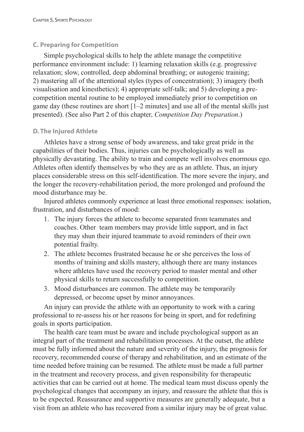## **C. Preparing for Competition**

Simple psychological skills to help the athlete manage the competitive performance environment include: 1) learning relaxation skills (e.g. progressive relaxation; slow, controlled, deep abdominal breathing; or autogenic training; 2) mastering all of the attentional styles (types of concentration); 3) imagery (both visualisation and kinesthetics); 4) appropriate self-talk; and 5) developing a precompetition mental routine to be employed immediately prior to competition on game day (these routines are short [1–2 minutes] and use all of the mental skills just presented). (See also Part 2 of this chapter, *Competition Day Preparation*.)

## **D. The Injured Athlete**

Athletes have a strong sense of body awareness, and take great pride in the capabilities of their bodies. Thus, injuries can be psychologically as well as physically devastating. The ability to train and compete well involves enormous ego. Athletes often identify themselves by who they are as an athlete. Thus, an injury places considerable stress on this self-identification. The more severe the injury, and the longer the recovery-rehabilitation period, the more prolonged and profound the mood disturbance may be.

Injured athletes commonly experience at least three emotional responses: isolation, frustration, and disturbances of mood:

- 1. The injury forces the athlete to become separated from teammates and coaches. Other team members may provide little support, and in fact they may shun their injured teammate to avoid reminders of their own potential frailty.
- 2. The athlete becomes frustrated because he or she perceives the loss of months of training and skills mastery, although there are many instances where athletes have used the recovery period to master mental and other physical skills to return successfully to competition.
- 3. Mood disturbances are common. The athlete may be temporarily depressed, or become upset by minor annoyances.

An injury can provide the athlete with an opportunity to work with a caring professional to re-assess his or her reasons for being in sport, and for redefining goals in sports participation.

The health care team must be aware and include psychological support as an integral part of the treatment and rehabilitation processes. At the outset, the athlete must be fully informed about the nature and severity of the injury, the prognosis for recovery, recommended course of therapy and rehabilitation, and an estimate of the time needed before training can be resumed. The athlete must be made a full partner in the treatment and recovery process, and given responsibility for therapeutic activities that can be carried out at home. The medical team must discuss openly the psychological changes that accompany an injury, and reassure the athlete that this is to be expected. Reassurance and supportive measures are generally adequate, but a visit from an athlete who has recovered from a similar injury may be of great value.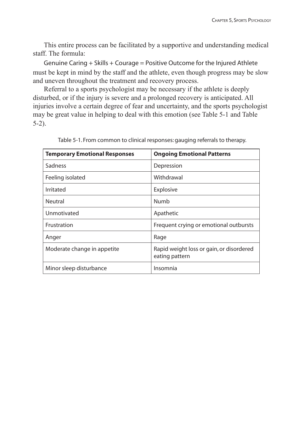This entire process can be facilitated by a supportive and understanding medical staff. The formula:

Genuine Caring + Skills + Courage = Positive Outcome for the Injured Athlete must be kept in mind by the staff and the athlete, even though progress may be slow and uneven throughout the treatment and recovery process.

Referral to a sports psychologist may be necessary if the athlete is deeply disturbed, or if the injury is severe and a prolonged recovery is anticipated. All injuries involve a certain degree of fear and uncertainty, and the sports psychologist may be great value in helping to deal with this emotion (see Table 5-1 and Table 5-2).

| <b>Temporary Emotional Responses</b> | <b>Ongoing Emotional Patterns</b>                          |
|--------------------------------------|------------------------------------------------------------|
| Sadness                              | Depression                                                 |
| Feeling isolated                     | Withdrawal                                                 |
| Irritated                            | Explosive                                                  |
| Neutral                              | Numb                                                       |
| Unmotivated                          | Apathetic                                                  |
| Frustration                          | Frequent crying or emotional outbursts                     |
| Anger                                | Rage                                                       |
| Moderate change in appetite          | Rapid weight loss or gain, or disordered<br>eating pattern |
| Minor sleep disturbance              | Insomnia                                                   |

Table 5-1. From common to clinical responses: gauging referrals to therapy.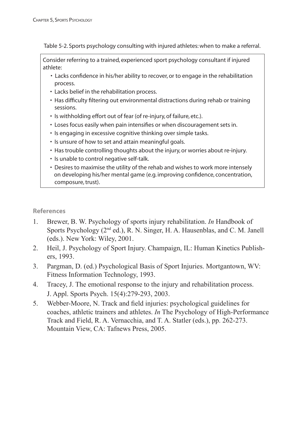Table 5-2. Sports psychology consulting with injured athletes: when to make a referral.

Consider referring to a trained, experienced sport psychology consultant if injured athlete:

- Lacks confidence in his/her ability to recover, or to engage in the rehabilitation process.
- Lacks belief in the rehabilitation process.
- Has difficulty filtering out environmental distractions during rehab or training sessions.
- Is withholding effort out of fear (of re-injury, of failure, etc.).
- Loses focus easily when pain intensifies or when discouragement sets in.
- Is engaging in excessive cognitive thinking over simple tasks.
- Is unsure of how to set and attain meaningful goals.
- Has trouble controlling thoughts about the injury, or worries about re-injury.
- Is unable to control negative self-talk.
- Desires to maximise the utility of the rehab and wishes to work more intensely on developing his/her mental game (e.g. improving confidence, concentration, composure, trust).

## **References**

- 1. Brewer, B. W. Psychology of sports injury rehabilitation. *In* Handbook of Sports Psychology (2nd ed.), R. N. Singer, H. A. Hausenblas, and C. M. Janell (eds.). New York: Wiley, 2001.
- 2. Heil, J. Psychology of Sport Injury. Champaign, IL: Human Kinetics Publishers, 1993.
- 3. Pargman, D. (ed.) Psychological Basis of Sport Injuries. Mortgantown, WV: Fitness Information Technology, 1993.
- 4. Tracey, J. The emotional response to the injury and rehabilitation process. J. Appl. Sports Psych. 15(4):279-293, 2003.
- 5. Webber-Moore, N. Track and field injuries: psychological guidelines for coaches, athletic trainers and athletes. *In* The Psychology of High-Performance Track and Field, R. A. Vernacchia, and T. A. Statler (eds.), pp. 262-273. Mountain View, CA: Tafnews Press, 2005.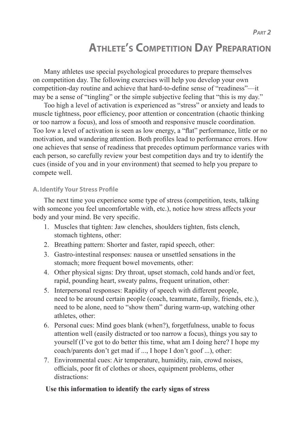*PART 2*

# **ATHLETE'S COMPETITION DAY PREPARATION**

Many athletes use special psychological procedures to prepare themselves on competition day. The following exercises will help you develop your own competition-day routine and achieve that hard-to-define sense of "readiness"—it may be a sense of "tingling" or the simple subjective feeling that "this is my day."

Too high a level of activation is experienced as "stress" or anxiety and leads to muscle tightness, poor efficiency, poor attention or concentration (chaotic thinking or too narrow a focus), and loss of smooth and responsive muscle coordination. Too low a level of activation is seen as low energy, a "flat" performance, little or no motivation, and wandering attention. Both profiles lead to performance errors. How one achieves that sense of readiness that precedes optimum performance varies with each person, so carefully review your best competition days and try to identify the cues (inside of you and in your environment) that seemed to help you prepare to compete well.

#### **A. Identify Your Stress Profile**

The next time you experience some type of stress (competition, tests, talking with someone you feel uncomfortable with, etc.), notice how stress affects your body and your mind. Be very specific.

- 1. Muscles that tighten: Jaw clenches, shoulders tighten, fists clench, stomach tightens, other:
- 2. Breathing pattern: Shorter and faster, rapid speech, other:
- 3. Gastro-intestinal responses: nausea or unsettled sensations in the stomach; more frequent bowel movements, other:
- 4. Other physical signs: Dry throat, upset stomach, cold hands and/or feet, rapid, pounding heart, sweaty palms, frequent urination, other:
- 5. Interpersonal responses: Rapidity of speech with different people, need to be around certain people (coach, teammate, family, friends, etc.), need to be alone, need to "show them" during warm-up, watching other athletes, other:
- 6. Personal cues: Mind goes blank (when?), forgetfulness, unable to focus attention well (easily distracted or too narrow a focus), things you say to yourself (I've got to do better this time, what am I doing here? I hope my coach/parents don't get mad if ..., I hope I don't goof ...), other:
- 7. Environmental cues: Air temperature, humidity, rain, crowd noises, officials, poor fit of clothes or shoes, equipment problems, other distractions:

#### **Use this information to identify the early signs of stress**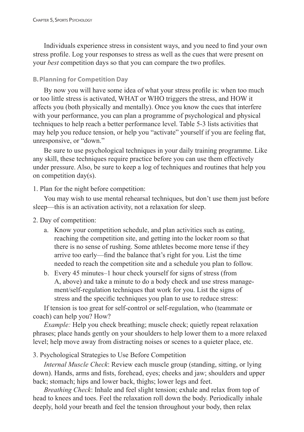Individuals experience stress in consistent ways, and you need to find your own stress profile. Log your responses to stress as well as the cues that were present on your *best* competition days so that you can compare the two profiles.

#### **B. Planning for Competition Day**

By now you will have some idea of what your stress profile is: when too much or too little stress is activated, WHAT or WHO triggers the stress, and HOW it affects you (both physically and mentally). Once you know the cues that interfere with your performance, you can plan a programme of psychological and physical techniques to help reach a better performance level. Table 5-3 lists activities that may help you reduce tension, or help you "activate" yourself if you are feeling flat, unresponsive, or "down."

Be sure to use psychological techniques in your daily training programme. Like any skill, these techniques require practice before you can use them effectively under pressure. Also, be sure to keep a log of techniques and routines that help you on competition day(s).

## 1. Plan for the night before competition:

You may wish to use mental rehearsal techniques, but don't use them just before sleep—this is an activation activity, not a relaxation for sleep.

- 2. Day of competition:
	- a. Know your competition schedule, and plan activities such as eating, reaching the competition site, and getting into the locker room so that there is no sense of rushing. Some athletes become more tense if they arrive too early—find the balance that's right for you. List the time needed to reach the competition site and a schedule you plan to follow.
	- b. Every 45 minutes–1 hour check yourself for signs of stress (from A, above) and take a minute to do a body check and use stress manage ment/self-regulation techniques that work for you. List the signs of stress and the specific techniques you plan to use to reduce stress:

If tension is too great for self-control or self-regulation, who (teammate or coach) can help you? How?

*Example:* Help you check breathing; muscle check; quietly repeat relaxation phrases; place hands gently on your shoulders to help lower them to a more relaxed level; help move away from distracting noises or scenes to a quieter place, etc.

3. Psychological Strategies to Use Before Competition

*Internal Muscle Check*: Review each muscle group (standing, sitting, or lying down). Hands, arms and fists, forehead, eyes; cheeks and jaw; shoulders and upper back; stomach; hips and lower back, thighs; lower legs and feet.

*Breathing Check*: Inhale and feel slight tension; exhale and relax from top of head to knees and toes. Feel the relaxation roll down the body. Periodically inhale deeply, hold your breath and feel the tension throughout your body, then relax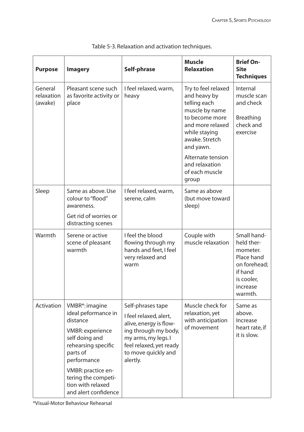| <b>Purpose</b>                   | <b>Imagery</b>                                                                                                                                                                                                                             | Self-phrase                                                                                                                                                                        | <b>Muscle</b><br><b>Relaxation</b>                                                                                                                          | <b>Brief On-</b><br><b>Site</b><br><b>Techniques</b>                                                                |
|----------------------------------|--------------------------------------------------------------------------------------------------------------------------------------------------------------------------------------------------------------------------------------------|------------------------------------------------------------------------------------------------------------------------------------------------------------------------------------|-------------------------------------------------------------------------------------------------------------------------------------------------------------|---------------------------------------------------------------------------------------------------------------------|
| General<br>relaxation<br>(awake) | Pleasant scene such<br>as favorite activity or<br>place                                                                                                                                                                                    | I feel relaxed, warm,<br>heavy                                                                                                                                                     | Try to feel relaxed<br>and heavy by<br>telling each<br>muscle by name<br>to become more<br>and more relaxed<br>while staying<br>awake. Stretch<br>and yawn. | Internal<br>muscle scan<br>and check<br><b>Breathing</b><br>check and<br>exercise                                   |
|                                  |                                                                                                                                                                                                                                            |                                                                                                                                                                                    | Alternate tension<br>and relaxation<br>of each muscle<br>group                                                                                              |                                                                                                                     |
| Sleep                            | Same as above. Use<br>colour to "flood"<br>awareness.<br>Get rid of worries or<br>distracting scenes                                                                                                                                       | I feel relaxed, warm,<br>serene, calm                                                                                                                                              | Same as above<br>(but move toward<br>sleep)                                                                                                                 |                                                                                                                     |
| Warmth                           | Serene or active<br>scene of pleasant<br>warmth                                                                                                                                                                                            | I feel the blood<br>flowing through my<br>hands and feet, I feel<br>very relaxed and<br>warm                                                                                       | Couple with<br>muscle relaxation                                                                                                                            | Small hand-<br>held ther-<br>mometer.<br>Place hand<br>on forehead;<br>if hand<br>is cooler,<br>increase<br>warmth. |
| Activation                       | VMBR*: imagine<br>ideal peformance in<br>distance<br><b>VMBR: experience</b><br>self doing and<br>rehearsing specific<br>parts of<br>performance<br>VMBR: practice en-<br>tering the competi-<br>tion with relaxed<br>and alert confidence | Self-phrases tape<br>I feel relaxed, alert,<br>alive, energy is flow-<br>ing through my body,<br>my arms, my legs. I<br>feel relaxed, yet ready<br>to move quickly and<br>alertly. | Muscle check for<br>relaxation, yet<br>with anticipation<br>of movement                                                                                     | Same as<br>above.<br>Increase<br>heart rate, if<br>it is slow.                                                      |

| Table 5-3. Relaxation and activation techniques. |
|--------------------------------------------------|
|                                                  |

\*Visual-Motor Behaviour Rehearsal